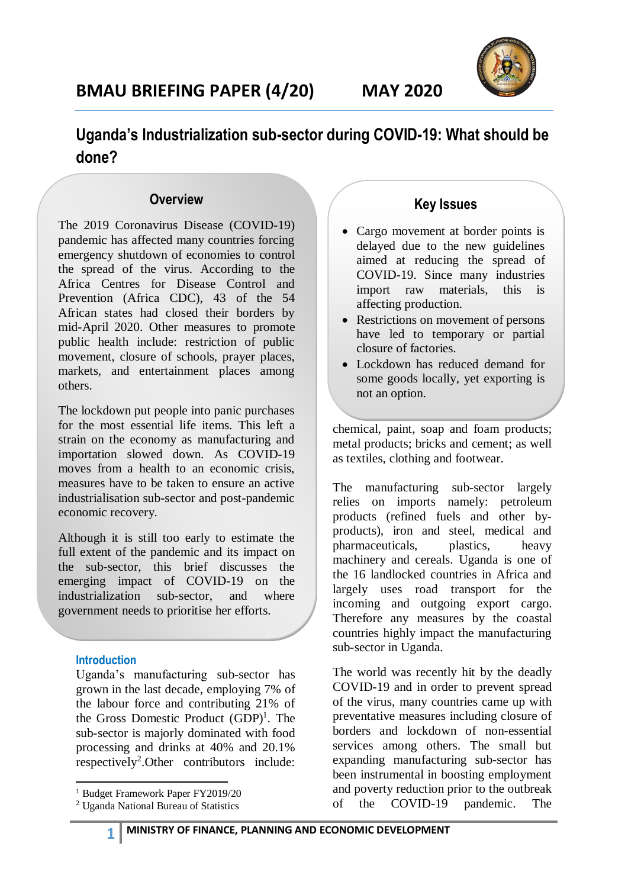

## **Uganda's Industrialization sub-sector during COVID-19: What should be done?**

## **Overview**

The 2019 Coronavirus Disease (COVID-19) pandemic has affected many countries forcing emergency shutdown of economies to control the spread of the virus. According to the Africa Centres for Disease Control and Prevention (Africa CDC), 43 of the 54 African states had closed their borders by mid-April 2020. Other measures to promote public health include: restriction of public movement, closure of schools, prayer places, markets, and entertainment places among others.

The lockdown put people into panic purchases for the most essential life items. This left a strain on the economy as manufacturing and importation slowed down. As COVID-19 moves from a health to an economic crisis, measures have to be taken to ensure an active industrialisation sub-sector and post-pandemic economic recovery.

Although it is still too early to estimate the full extent of the pandemic and its impact on the sub-sector, this brief discusses the emerging impact of COVID-19 on the industrialization sub-sector, and where government needs to prioritise her efforts.

### **Introduction**

Uganda's manufacturing sub-sector has grown in the last decade, employing 7% of the labour force and contributing 21% of the Gross Domestic Product (GDP) 1 . The sub-sector is majorly dominated with food processing and drinks at 40% and 20.1% respectively<sup>2</sup>. Other contributors include:

1 <sup>1</sup> Budget Framework Paper FY2019/20

## **Key Issues**

- Cargo movement at border points is delayed due to the new guidelines aimed at reducing the spread of COVID-19. Since many industries import raw materials, this is affecting production.
- Restrictions on movement of persons have led to temporary or partial closure of factories.
- Lockdown has reduced demand for some goods locally, yet exporting is not an option.

chemical, paint, soap and foam products; metal products; bricks and cement; as well as textiles, clothing and footwear.

The manufacturing sub-sector largely relies on imports namely: petroleum products (refined fuels and other byproducts), iron and steel, medical and pharmaceuticals, plastics, heavy machinery and cereals. Uganda is one of the 16 landlocked countries in Africa and largely uses road transport for the incoming and outgoing export cargo. Therefore any measures by the coastal countries highly impact the manufacturing sub-sector in Uganda.

The world was recently hit by the deadly COVID-19 and in order to prevent spread of the virus, many countries came up with preventative measures including closure of borders and lockdown of non-essential services among others. The small but expanding manufacturing sub-sector has been instrumental in boosting employment and poverty reduction prior to the outbreak of the COVID-19 pandemic. The

<sup>2</sup> Uganda National Bureau of Statistics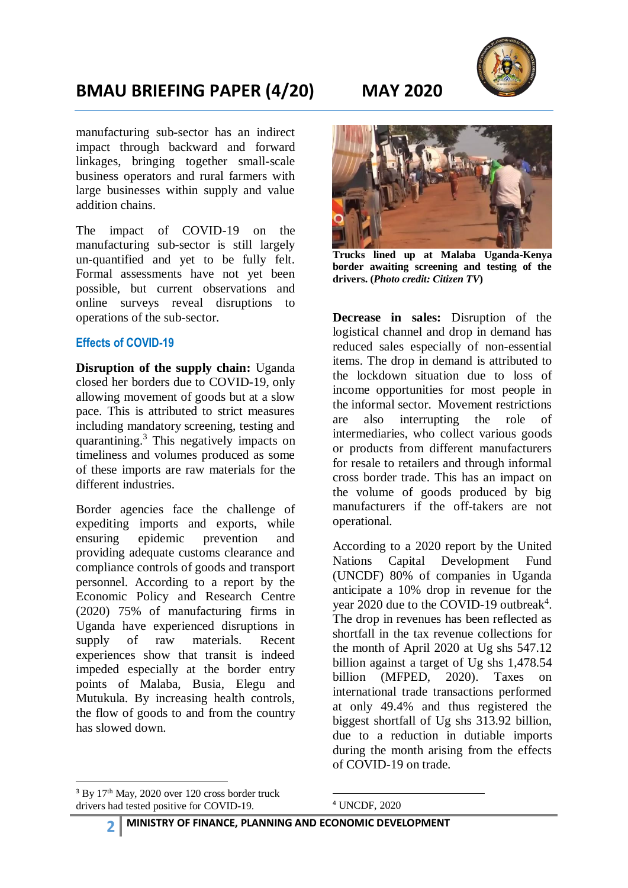

## **BMAU BRIEFING PAPER (4/20) MAY 2020**

manufacturing sub-sector has an indirect impact through backward and forward linkages, bringing together small-scale business operators and rural farmers with large businesses within supply and value addition chains.

The impact of COVID-19 on the manufacturing sub-sector is still largely un-quantified and yet to be fully felt. Formal assessments have not yet been possible, but current observations and online surveys reveal disruptions to operations of the sub-sector.

### **Effects of COVID-19**

**Disruption of the supply chain:** Uganda closed her borders due to COVID-19, only allowing movement of goods but at a slow pace. This is attributed to strict measures including mandatory screening, testing and quarantining.<sup>3</sup> This negatively impacts on timeliness and volumes produced as some of these imports are raw materials for the different industries.

Border agencies face the challenge of expediting imports and exports, while ensuring epidemic prevention and providing adequate customs clearance and compliance controls of goods and transport personnel. According to a report by the Economic Policy and Research Centre (2020) 75% of manufacturing firms in Uganda have experienced disruptions in supply of raw materials. Recent experiences show that transit is indeed impeded especially at the border entry points of Malaba, Busia, Elegu and Mutukula. By increasing health controls, the flow of goods to and from the country has slowed down.

**Trucks lined up at Malaba Uganda-Kenya border awaiting screening and testing of the drivers. (***Photo credit: Citizen TV***)**

**Decrease in sales:** Disruption of the logistical channel and drop in demand has reduced sales especially of non-essential items. The drop in demand is attributed to the lockdown situation due to loss of income opportunities for most people in the informal sector. Movement restrictions are also interrupting the role of intermediaries, who collect various goods or products from different manufacturers for resale to retailers and through informal cross border trade. This has an impact on the volume of goods produced by big manufacturers if the off-takers are not operational.

According to a 2020 report by the United Nations Capital Development Fund (UNCDF) 80% of companies in Uganda anticipate a 10% drop in revenue for the year 2020 due to the COVID-19 outbreak<sup>4</sup>. The drop in revenues has been reflected as shortfall in the tax revenue collections for the month of April 2020 at Ug shs 547.12 billion against a target of Ug shs 1,478.54 billion (MFPED, 2020). Taxes on international trade transactions performed at only 49.4% and thus registered the biggest shortfall of Ug shs 313.92 billion, due to a reduction in dutiable imports during the month arising from the effects of COVID-19 on trade.

1

<sup>4</sup> UNCDF, 2020

**.** 

 $3$  By  $17<sup>th</sup>$  May, 2020 over 120 cross border truck drivers had tested positive for COVID-19.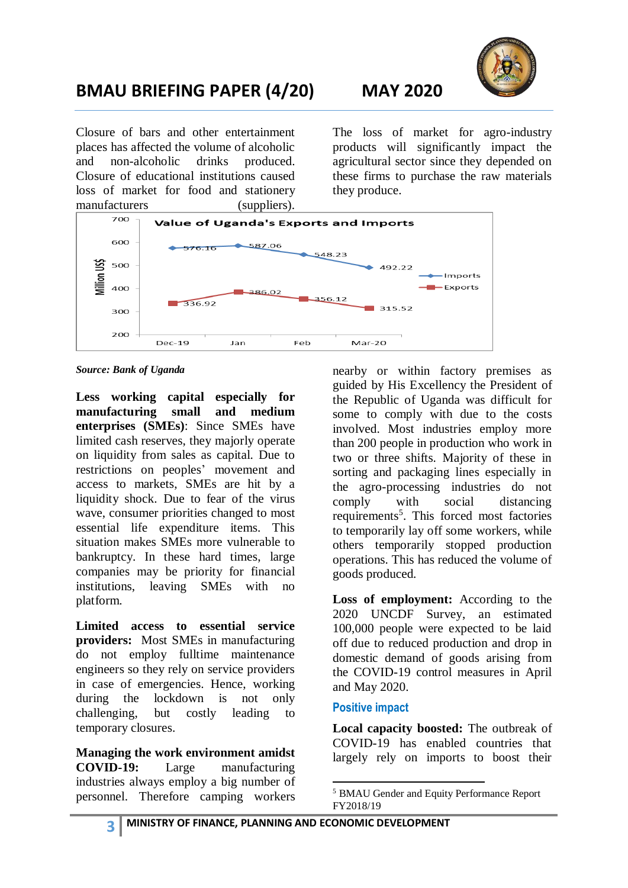

# **BMAU BRIEFING PAPER (4/20) MAY 2020**

Closure of bars and other entertainment places has affected the volume of alcoholic and non-alcoholic drinks produced. Closure of educational institutions caused loss of market for food and stationery manufacturers (suppliers). The loss of market for agro-industry products will significantly impact the agricultural sector since they depended on these firms to purchase the raw materials they produce.



*Source: Bank of Uganda*

**Less working capital especially for manufacturing small and medium enterprises (SMEs)**: Since SMEs have limited cash reserves, they majorly operate on liquidity from sales as capital. Due to restrictions on peoples' movement and access to markets, SMEs are hit by a liquidity shock. Due to fear of the virus wave, consumer priorities changed to most essential life expenditure items. This situation makes SMEs more vulnerable to bankruptcy. In these hard times, large companies may be priority for financial institutions, leaving SMEs with no platform.

**Limited access to essential service providers:** Most SMEs in manufacturing do not employ fulltime maintenance engineers so they rely on service providers in case of emergencies. Hence, working during the lockdown is not only challenging, but costly leading to temporary closures.

**Managing the work environment amidst COVID-19:** Large manufacturing industries always employ a big number of personnel. Therefore camping workers nearby or within factory premises as guided by His Excellency the President of the Republic of Uganda was difficult for some to comply with due to the costs involved. Most industries employ more than 200 people in production who work in two or three shifts. Majority of these in sorting and packaging lines especially in the agro-processing industries do not comply with social distancing requirements<sup>5</sup>. This forced most factories to temporarily lay off some workers, while others temporarily stopped production operations. This has reduced the volume of goods produced.

Loss of employment: According to the 2020 UNCDF Survey, an estimated 100,000 people were expected to be laid off due to reduced production and drop in domestic demand of goods arising from the COVID-19 control measures in April and May 2020.

## **Positive impact**

**Local capacity boosted:** The outbreak of COVID-19 has enabled countries that largely rely on imports to boost their

<sup>1</sup> <sup>5</sup> BMAU Gender and Equity Performance Report FY2018/19